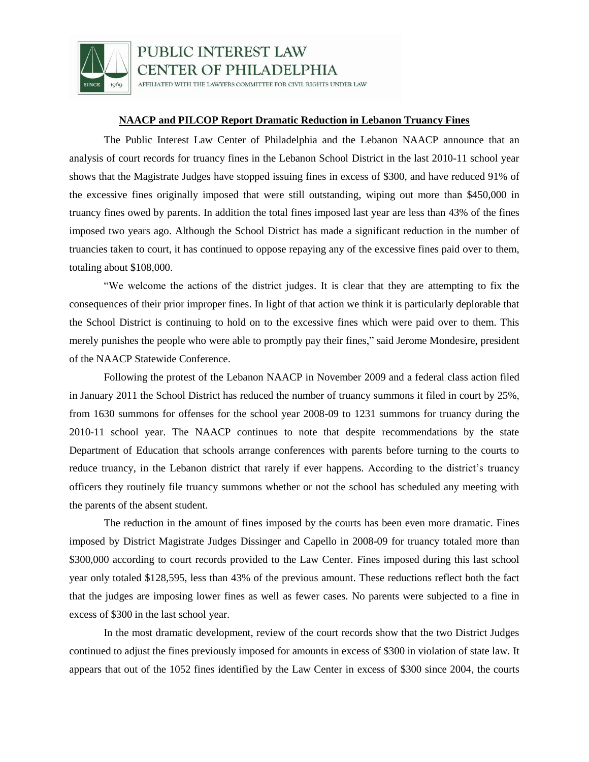

PUBLIC INTEREST LAW **CENTER OF PHILADELPHIA** 

AFFILIATED WITH THE LAWYERS COMMITTEE FOR CIVIL RIGHTS UNDER LAW

## **NAACP and PILCOP Report Dramatic Reduction in Lebanon Truancy Fines**

The Public Interest Law Center of Philadelphia and the Lebanon NAACP announce that an analysis of court records for truancy fines in the Lebanon School District in the last 2010-11 school year shows that the Magistrate Judges have stopped issuing fines in excess of \$300, and have reduced 91% of the excessive fines originally imposed that were still outstanding, wiping out more than \$450,000 in truancy fines owed by parents. In addition the total fines imposed last year are less than 43% of the fines imposed two years ago. Although the School District has made a significant reduction in the number of truancies taken to court, it has continued to oppose repaying any of the excessive fines paid over to them, totaling about \$108,000.

"We welcome the actions of the district judges. It is clear that they are attempting to fix the consequences of their prior improper fines. In light of that action we think it is particularly deplorable that the School District is continuing to hold on to the excessive fines which were paid over to them. This merely punishes the people who were able to promptly pay their fines," said Jerome Mondesire, president of the NAACP Statewide Conference.

Following the protest of the Lebanon NAACP in November 2009 and a federal class action filed in January 2011 the School District has reduced the number of truancy summons it filed in court by 25%, from 1630 summons for offenses for the school year 2008-09 to 1231 summons for truancy during the 2010-11 school year. The NAACP continues to note that despite recommendations by the state Department of Education that schools arrange conferences with parents before turning to the courts to reduce truancy, in the Lebanon district that rarely if ever happens. According to the district's truancy officers they routinely file truancy summons whether or not the school has scheduled any meeting with the parents of the absent student.

The reduction in the amount of fines imposed by the courts has been even more dramatic. Fines imposed by District Magistrate Judges Dissinger and Capello in 2008-09 for truancy totaled more than \$300,000 according to court records provided to the Law Center. Fines imposed during this last school year only totaled \$128,595, less than 43% of the previous amount. These reductions reflect both the fact that the judges are imposing lower fines as well as fewer cases. No parents were subjected to a fine in excess of \$300 in the last school year.

In the most dramatic development, review of the court records show that the two District Judges continued to adjust the fines previously imposed for amounts in excess of \$300 in violation of state law. It appears that out of the 1052 fines identified by the Law Center in excess of \$300 since 2004, the courts